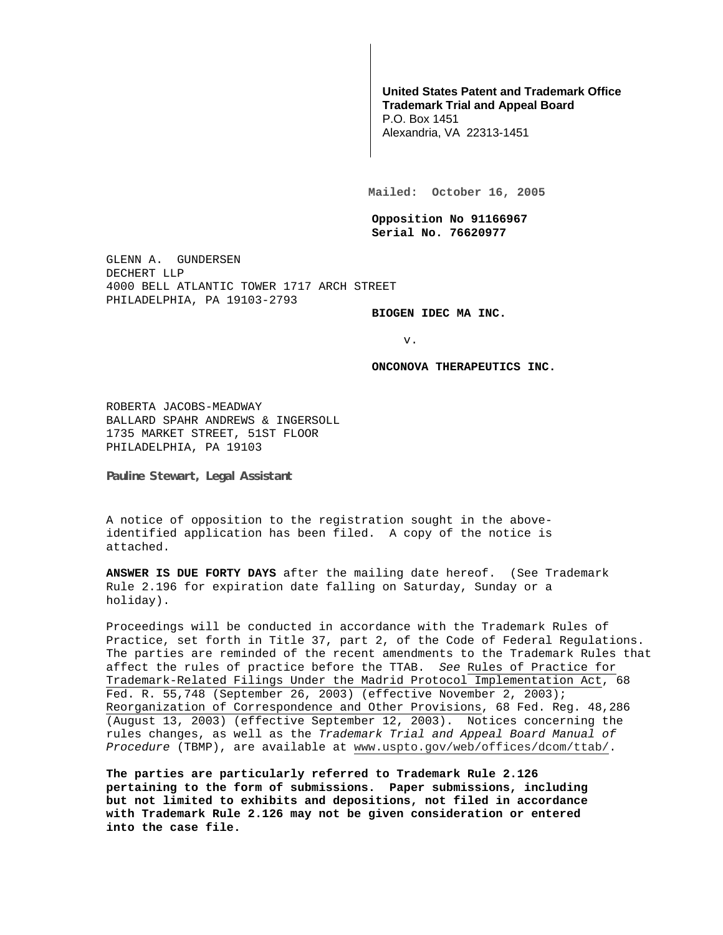## **United States Patent and Trademark Office Trademark Trial and Appeal Board**

P.O. Box 1451 Alexandria, VA 22313-1451

**Mailed: October 16, 2005** 

**Opposition No 91166967 Serial No. 76620977** 

GLENN A. GUNDERSEN DECHERT LLP 4000 BELL ATLANTIC TOWER 1717 ARCH STREET PHILADELPHIA, PA 19103-2793

**BIOGEN IDEC MA INC.** 

v.

**ONCONOVA THERAPEUTICS INC.** 

ROBERTA JACOBS-MEADWAY BALLARD SPAHR ANDREWS & INGERSOLL 1735 MARKET STREET, 51ST FLOOR PHILADELPHIA, PA 19103

**Pauline Stewart, Legal Assistant** 

A notice of opposition to the registration sought in the aboveidentified application has been filed. A copy of the notice is attached.

**ANSWER IS DUE FORTY DAYS** after the mailing date hereof. (See Trademark Rule 2.196 for expiration date falling on Saturday, Sunday or a holiday).

Proceedings will be conducted in accordance with the Trademark Rules of Practice, set forth in Title 37, part 2, of the Code of Federal Regulations. The parties are reminded of the recent amendments to the Trademark Rules that affect the rules of practice before the TTAB. See Rules of Practice for Trademark-Related Filings Under the Madrid Protocol Implementation Act, 68 Fed. R. 55,748 (September 26, 2003) (effective November 2, 2003); Reorganization of Correspondence and Other Provisions, 68 Fed. Reg. 48,286 (August 13, 2003) (effective September 12, 2003). Notices concerning the rules changes, as well as the Trademark Trial and Appeal Board Manual of Procedure (TBMP), are available at www.uspto.gov/web/offices/dcom/ttab/.

**The parties are particularly referred to Trademark Rule 2.126 pertaining to the form of submissions. Paper submissions, including but not limited to exhibits and depositions, not filed in accordance with Trademark Rule 2.126 may not be given consideration or entered into the case file.**